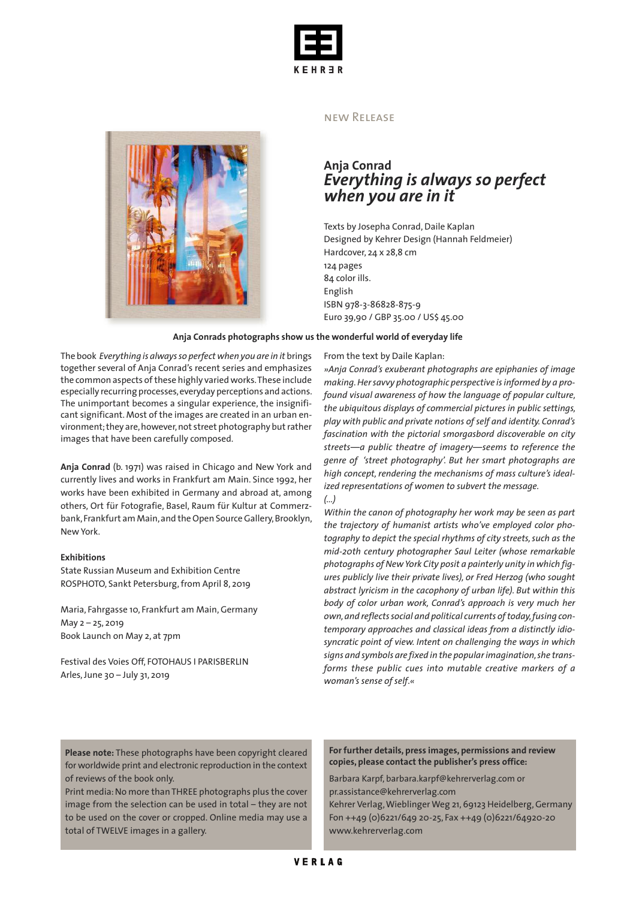



#### new Release

## **Anja Conrad** *Everything is always so perfect when you are in it*

Texts by Josepha Conrad, Daile Kaplan Designed by Kehrer Design (Hannah Feldmeier) Hardcover, 24 x 28,8 cm 124 pages 84 color ills. English ISBN 978-3-86828-875-9 Euro 39,90 / GBP 35.00 / US\$ 45.00

#### **Anja Conrads photographs show us the wonderful world of everyday life**

The book *Everything is alwaysso perfect when you are in it* brings together several of Anja Conrad's recent series and emphasizes the common aspects of these highly varied works. These include especially recurring processes, everyday perceptions and actions. The unimportant becomes a singular experience, the insignificant significant. Most of the images are created in an urban environment; they are, however, not street photography but rather images that have been carefully composed.

**Anja Conrad** (b. 1971) was raised in Chicago and New York and currently lives and works in Frankfurt am Main. Since 1992, her works have been exhibited in Germany and abroad at, among others, Ort für Fotografie, Basel, Raum für Kultur at Commerzbank, Frankfurt am Main, and the Open Source Gallery, Brooklyn, New York.

#### **Exhibitions**

State Russian Museum and Exhibition Centre ROSPHOTO, Sankt Petersburg,from April 8, 2019

Maria, Fahrgasse 10, Frankfurt am Main,Germany May 2 – 25, 2019 Book Launch on May 2, at 7pm

Festival des Voies Off, FOTOHAUS I PARISBERLIN Arles,June 30 – July 31, 2019

From the text by Daile Kaplan:

*»Anja Conrad's exuberant photographs are epiphanies of image making.Hersavvy photographic perspective isinformed by a profound visual awareness of how the language of popular culture, the ubiquitous displays of commercial pictures in public settings, play with public and private notions of self and identity. Conrad's fascination with the pictorial smorgasbord discoverable on city streets—a public theatre of imagery—seems to reference the genre of 'street photography'. But her smart photographs are high concept, rendering the mechanisms of mass culture's idealized representations of women to subvert the message. (...)*

*Within the canon of photography her work may be seen as part the trajectory of humanist artists who've employed color photography to depict the special rhythms of city streets,such as the mid-20th century photographer Saul Leiter (whose remarkable photographs ofNewYork City posit a painterly unity in which figures publicly live their private lives), or Fred Herzog (who sought abstract lyricism in the cacophony of urban life). But within this body of color urban work, Conrad's approach is very much her own,and reflectssocial and political currents oftoday,fusing contemporary approaches and classical ideas from a distinctly idiosyncratic point of view. Intent on challenging the ways in which signs and symbols are fixed in the popularimagination,she transforms these public cues into mutable creative markers of a woman's sense of self*.*«*

**Please note:** These photographs have been copyright cleared for worldwide print and electronic reproduction in the context of reviews of the book only.

Print media:No more than THREE photographs plus the cover image from the selection can be used in total – they are not to be used on the cover or cropped. Online media may use a total of TWELVE images in a gallery.

**For further details, press images, permissions and review copies, please contact the publisher's press office:**

Barbara Karpf, barbara.karpf@kehrerverlag.com or pr.assistance@kehrerverlag.com

Kehrer Verlag,WieblingerWeg 21, 69123 Heidelberg,Germany Fon ++49 (0)6221/649 20-25, Fax ++49 (0)6221/64920-20 www.kehrerverlag.com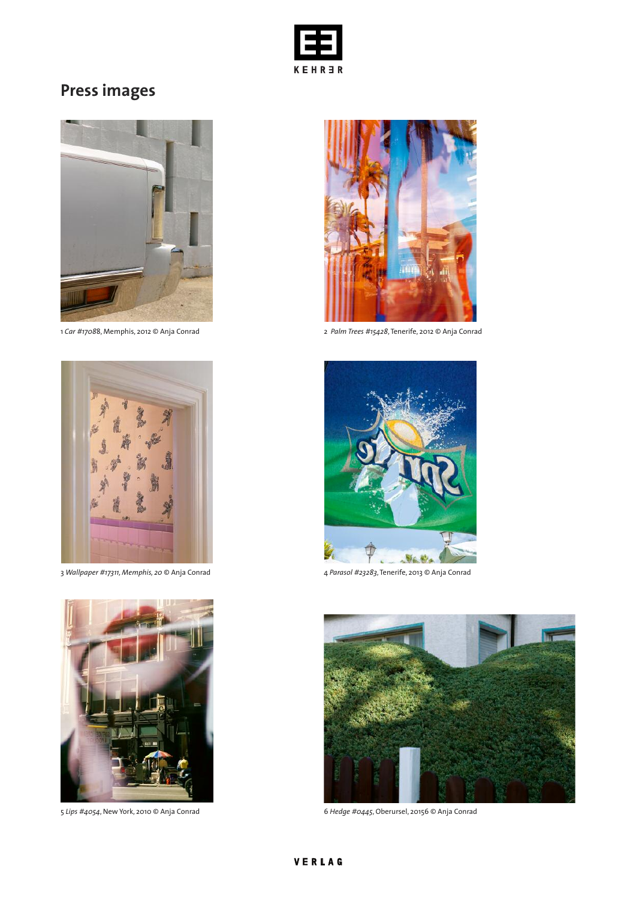

# **Press images**



1 *Car #1708*8, Memphis, 2012 © Anja Conrad 2 *Palm Trees #15428*, Tenerife, 2012 © Anja Conrad



3 *Wallpaper #17311, Memphis, 20* © Anja Conrad 4 *Parasol #23283*, Tenerife, 2013 © Anja Conrad









5 *Lips #4054*, New York, 2010 © Anja Conrad 6 *Hedge #0445*, Oberursel, 20156 © Anja Conrad

## VERLAG